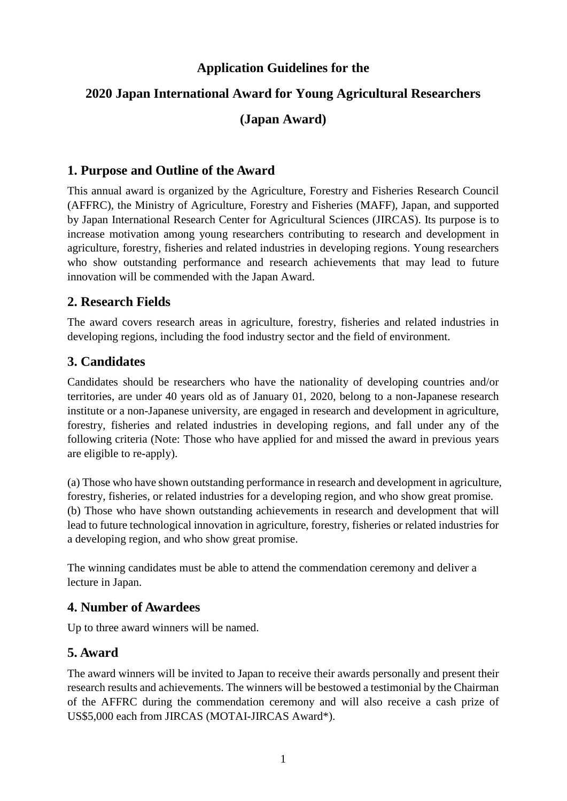### **Application Guidelines for the**

## **2020 Japan International Award for Young Agricultural Researchers**

**(Japan Award)**

## **1. Purpose and Outline of the Award**

This annual award is organized by the Agriculture, Forestry and Fisheries Research Council (AFFRC), the Ministry of Agriculture, Forestry and Fisheries (MAFF), Japan, and supported by Japan International Research Center for Agricultural Sciences (JIRCAS). Its purpose is to increase motivation among young researchers contributing to research and development in agriculture, forestry, fisheries and related industries in developing regions. Young researchers who show outstanding performance and research achievements that may lead to future innovation will be commended with the Japan Award.

## **2. Research Fields**

The award covers research areas in agriculture, forestry, fisheries and related industries in developing regions, including the food industry sector and the field of environment.

## **3. Candidates**

Candidates should be researchers who have the nationality of developing countries and/or territories, are under 40 years old as of January 01, 2020, belong to a non-Japanese research institute or a non-Japanese university, are engaged in research and development in agriculture, forestry, fisheries and related industries in developing regions, and fall under any of the following criteria (Note: Those who have applied for and missed the award in previous years are eligible to re-apply).

(a) Those who have shown outstanding performance in research and development in agriculture, forestry, fisheries, or related industries for a developing region, and who show great promise. (b) Those who have shown outstanding achievements in research and development that will lead to future technological innovation in agriculture, forestry, fisheries or related industries for a developing region, and who show great promise.

The winning candidates must be able to attend the commendation ceremony and deliver a lecture in Japan.

# **4. Number of Awardees**

Up to three award winners will be named.

# **5. Award**

The award winners will be invited to Japan to receive their awards personally and present their research results and achievements. The winners will be bestowed a testimonial by the Chairman of the AFFRC during the commendation ceremony and will also receive a cash prize of US\$5,000 each from JIRCAS (MOTAI-JIRCAS Award\*).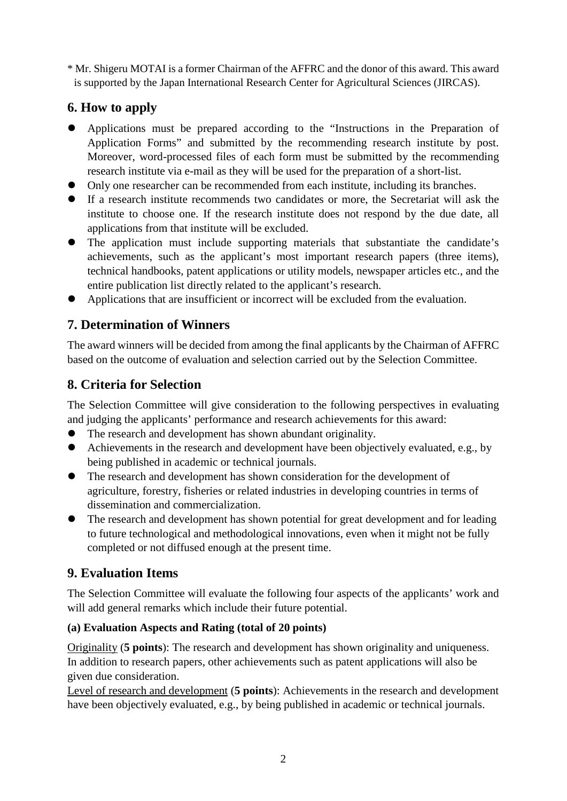\* Mr. Shigeru MOTAI is a former Chairman of the AFFRC and the donor of this award. This award is supported by the Japan International Research Center for Agricultural Sciences (JIRCAS).

## **6. How to apply**

- Applications must be prepared according to the "Instructions in the Preparation of Application Forms" and submitted by the recommending research institute by post. Moreover, word-processed files of each form must be submitted by the recommending research institute via e-mail as they will be used for the preparation of a short-list.
- Only one researcher can be recommended from each institute, including its branches.
- If a research institute recommends two candidates or more, the Secretariat will ask the institute to choose one. If the research institute does not respond by the due date, all applications from that institute will be excluded.
- The application must include supporting materials that substantiate the candidate's achievements, such as the applicant's most important research papers (three items), technical handbooks, patent applications or utility models, newspaper articles etc., and the entire publication list directly related to the applicant's research.
- Applications that are insufficient or incorrect will be excluded from the evaluation.

# **7. Determination of Winners**

The award winners will be decided from among the final applicants by the Chairman of AFFRC based on the outcome of evaluation and selection carried out by the Selection Committee.

# **8. Criteria for Selection**

The Selection Committee will give consideration to the following perspectives in evaluating and judging the applicants' performance and research achievements for this award:

- The research and development has shown abundant originality.
- Achievements in the research and development have been objectively evaluated, e.g., by being published in academic or technical journals.
- The research and development has shown consideration for the development of agriculture, forestry, fisheries or related industries in developing countries in terms of dissemination and commercialization.
- The research and development has shown potential for great development and for leading to future technological and methodological innovations, even when it might not be fully completed or not diffused enough at the present time.

# **9. Evaluation Items**

The Selection Committee will evaluate the following four aspects of the applicants' work and will add general remarks which include their future potential.

### **(a) Evaluation Aspects and Rating (total of 20 points)**

Originality (**5 points**): The research and development has shown originality and uniqueness. In addition to research papers, other achievements such as patent applications will also be given due consideration.

Level of research and development (**5 points**): Achievements in the research and development have been objectively evaluated, e.g., by being published in academic or technical journals.